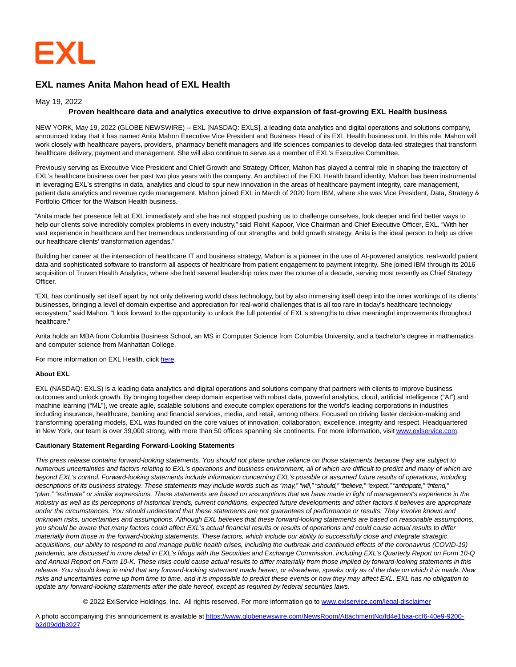

# **EXL names Anita Mahon head of EXL Health**

## May 19, 2022

## **Proven healthcare data and analytics executive to drive expansion of fast-growing EXL Health business**

NEW YORK, May 19, 2022 (GLOBE NEWSWIRE) -- EXL [NASDAQ: EXLS], a leading data analytics and digital operations and solutions company, announced today that it has named Anita Mahon Executive Vice President and Business Head of its EXL Health business unit. In this role, Mahon will work closely with healthcare payers, providers, pharmacy benefit managers and life sciences companies to develop data-led strategies that transform healthcare delivery, payment and management. She will also continue to serve as a member of EXL's Executive Committee.

Previously serving as Executive Vice President and Chief Growth and Strategy Officer, Mahon has played a central role in shaping the trajectory of EXL's healthcare business over her past two plus years with the company. An architect of the EXL Health brand identity, Mahon has been instrumental in leveraging EXL's strengths in data, analytics and cloud to spur new innovation in the areas of healthcare payment integrity, care management, patient data analytics and revenue cycle management. Mahon joined EXL in March of 2020 from IBM, where she was Vice President, Data, Strategy & Portfolio Officer for the Watson Health business.

"Anita made her presence felt at EXL immediately and she has not stopped pushing us to challenge ourselves, look deeper and find better ways to help our clients solve incredibly complex problems in every industry," said Rohit Kapoor, Vice Chairman and Chief Executive Officer, EXL. "With her vast experience in healthcare and her tremendous understanding of our strengths and bold growth strategy, Anita is the ideal person to help us drive our healthcare clients' transformation agendas."

Building her career at the intersection of healthcare IT and business strategy, Mahon is a pioneer in the use of AI-powered analytics, real-world patient data and sophisticated software to transform all aspects of healthcare from patient engagement to payment integrity. She joined IBM through its 2016 acquisition of Truven Health Analytics, where she held several leadership roles over the course of a decade, serving most recently as Chief Strategy Officer.

"EXL has continually set itself apart by not only delivering world class technology, but by also immersing itself deep into the inner workings of its clients' businesses, bringing a level of domain expertise and appreciation for real-world challenges that is all too rare in today's healthcare technology ecosystem," said Mahon. "I look forward to the opportunity to unlock the full potential of EXL's strengths to drive meaningful improvements throughout healthcare."

Anita holds an MBA from Columbia Business School, an MS in Computer Science from Columbia University, and a bachelor's degree in mathematics and computer science from Manhattan College.

For more information on EXL Health, click [here.](https://www.globenewswire.com/Tracker?data=_1K7fpjBG5u1axA_mVvNNXmTHsH43nc-D_AxBHbmHITwALCI_Fkwj46pwE3EiyBIaN4pQ7XDrRO_Zf1kPI9F3__EhSbdSDhCysJKaJ8rFSc=)

#### **About EXL**

EXL (NASDAQ: EXLS) is a leading data analytics and digital operations and solutions company that partners with clients to improve business outcomes and unlock growth. By bringing together deep domain expertise with robust data, powerful analytics, cloud, artificial intelligence ("AI") and machine learning ("ML"), we create agile, scalable solutions and execute complex operations for the world's leading corporations in industries including insurance, healthcare, banking and financial services, media, and retail, among others. Focused on driving faster decision-making and transforming operating models, EXL was founded on the core values of innovation, collaboration, excellence, integrity and respect. Headquartered in New York, our team is over 39,000 strong, with more than 50 offices spanning six continents. For more information, visi[t www.exlservice.com.](https://www.globenewswire.com/Tracker?data=vk3qP1B6qWyggGY_D2CKsybRrmHADGRi4wMfBq6pI7dz3fvyFvreyw2LcXU9gjJN6ltXj-lQOgvOz4TRh-IlFHocgumPXf-isN7o-iROyS4=)

#### **Cautionary Statement Regarding Forward-Looking Statements**

This press release contains forward-looking statements. You should not place undue reliance on those statements because they are subject to numerous uncertainties and factors relating to EXL's operations and business environment, all of which are difficult to predict and many of which are beyond EXL's control. Forward-looking statements include information concerning EXL's possible or assumed future results of operations, including descriptions of its business strategy. These statements may include words such as "may," "will," "should," "believe," "expect," "anticipate," "intend," "plan," "estimate" or similar expressions. These statements are based on assumptions that we have made in light of management's experience in the industry as well as its perceptions of historical trends, current conditions, expected future developments and other factors it believes are appropriate under the circumstances. You should understand that these statements are not guarantees of performance or results. They involve known and unknown risks, uncertainties and assumptions. Although EXL believes that these forward-looking statements are based on reasonable assumptions, you should be aware that many factors could affect EXL's actual financial results or results of operations and could cause actual results to differ materially from those in the forward-looking statements. These factors, which include our ability to successfully close and integrate strategic acquisitions, our ability to respond to and manage public health crises, including the outbreak and continued effects of the coronavirus (COVID-19) pandemic, are discussed in more detail in EXL's filings with the Securities and Exchange Commission, including EXL's Quarterly Report on Form 10-Q and Annual Report on Form 10-K. These risks could cause actual results to differ materially from those implied by forward-looking statements in this release. You should keep in mind that any forward-looking statement made herein, or elsewhere, speaks only as of the date on which it is made. New risks and uncertainties come up from time to time, and it is impossible to predict these events or how they may affect EXL. EXL has no obligation to update any forward-looking statements after the date hereof, except as required by federal securities laws.

© 2022 ExlService Holdings, Inc. All rights reserved. For more information go to [www.exlservice.com/legal-disclaimer](https://www.globenewswire.com/Tracker?data=vk3qP1B6qWyggGY_D2CKswCo_fWydshyXjj_Yfrwy6lKiYCDCV_M6bv4MdZTUMIq7VYWF6p2PJvOsoAmclZ1pKzF2hcaw5Y_rguXaJi93he-4-7brD-JXVHULeJLIUcUG3mRZed-o6dVViYkzdgvfg==)

A photo accompanying this announcement is available a[t https://www.globenewswire.com/NewsRoom/AttachmentNg/fd4e1baa-ccf6-40e9-9200](https://www.globenewswire.com/Tracker?data=DFIyVMhlezMqohW7UfyxQO4e5LKZkI7iIg7gA1yM-glIsKwgv2Ir_OPOoVOz3aHWJs3WgVmNcxo-FosbHqOx03r2umWPnkXkCaMjqBRLQppQIuTTJzKoSrPcoVldB7xCuifUJtLUfnNqO6tR2iz077ASMWWCMsxf8QWN830J-CF7cBXcqSUnv_MHyx5vvCZXIpz7Fk68L8D51P_S0C-yLaG_raPUxNrEzD7nAzb4dDEX9Yga5KPaGJ2MkAYFoqmBMu9-EMsftEgUcl5V15-BNQ==) b2d09ddb3927